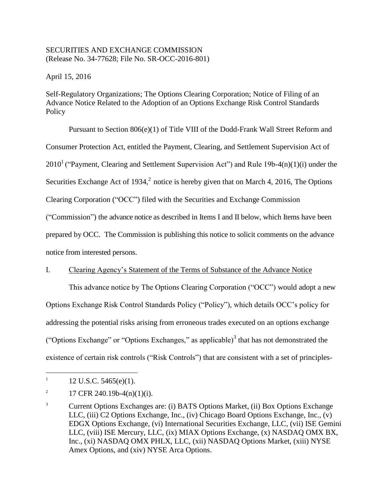## SECURITIES AND EXCHANGE COMMISSION (Release No. 34-77628; File No. SR-OCC-2016-801)

April 15, 2016

Self-Regulatory Organizations; The Options Clearing Corporation; Notice of Filing of an Advance Notice Related to the Adoption of an Options Exchange Risk Control Standards Policy

Pursuant to Section 806(e)(1) of Title VIII of the Dodd-Frank Wall Street Reform and Consumer Protection Act, entitled the Payment, Clearing, and Settlement Supervision Act of 2010<sup>1</sup> ("Payment, Clearing and Settlement Supervision Act") and Rule 19b-4(n)(1)(i) under the Securities Exchange Act of 1934, $^2$  notice is hereby given that on March 4, 2016, The Options Clearing Corporation ("OCC") filed with the Securities and Exchange Commission ("Commission") the advance notice as described in Items I and II below, which Items have been

prepared by OCC. The Commission is publishing this notice to solicit comments on the advance notice from interested persons.

# I. Clearing Agency's Statement of the Terms of Substance of the Advance Notice

This advance notice by The Options Clearing Corporation ("OCC") would adopt a new Options Exchange Risk Control Standards Policy ("Policy"), which details OCC's policy for addressing the potential risks arising from erroneous trades executed on an options exchange ("Options Exchange" or "Options Exchanges," as applicable) $3$  that has not demonstrated the existence of certain risk controls ("Risk Controls") that are consistent with a set of principles-

<sup>1</sup> 12 U.S.C. 5465(e)(1).

<sup>2</sup> 17 CFR 240.19b-4(n)(1)(i).

<sup>&</sup>lt;sup>3</sup> Current Options Exchanges are: (i) BATS Options Market, (ii) Box Options Exchange LLC, (iii) C2 Options Exchange, Inc., (iv) Chicago Board Options Exchange, Inc., (v) EDGX Options Exchange, (vi) International Securities Exchange, LLC, (vii) ISE Gemini LLC, (viii) ISE Mercury, LLC, (ix) MIAX Options Exchange, (x) NASDAQ OMX BX, Inc., (xi) NASDAQ OMX PHLX, LLC, (xii) NASDAQ Options Market, (xiii) NYSE Amex Options, and (xiv) NYSE Arca Options.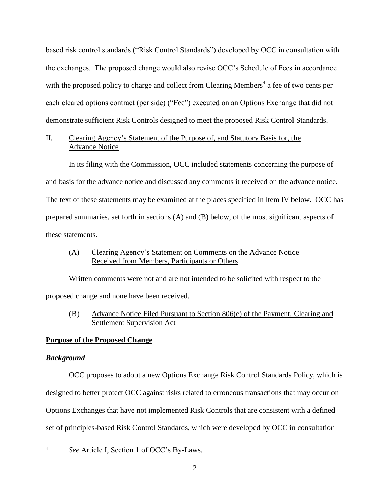based risk control standards ("Risk Control Standards") developed by OCC in consultation with the exchanges. The proposed change would also revise OCC's Schedule of Fees in accordance with the proposed policy to charge and collect from Clearing Members<sup>4</sup> a fee of two cents per each cleared options contract (per side) ("Fee") executed on an Options Exchange that did not demonstrate sufficient Risk Controls designed to meet the proposed Risk Control Standards.

# II. Clearing Agency's Statement of the Purpose of, and Statutory Basis for, the Advance Notice

In its filing with the Commission, OCC included statements concerning the purpose of and basis for the advance notice and discussed any comments it received on the advance notice. The text of these statements may be examined at the places specified in Item IV below. OCC has prepared summaries, set forth in sections (A) and (B) below, of the most significant aspects of these statements.

# (A) Clearing Agency's Statement on Comments on the Advance Notice Received from Members, Participants or Others

Written comments were not and are not intended to be solicited with respect to the proposed change and none have been received.

(B) Advance Notice Filed Pursuant to Section 806(e) of the Payment, Clearing and Settlement Supervision Act

# **Purpose of the Proposed Change**

# *Background*

OCC proposes to adopt a new Options Exchange Risk Control Standards Policy, which is designed to better protect OCC against risks related to erroneous transactions that may occur on Options Exchanges that have not implemented Risk Controls that are consistent with a defined set of principles-based Risk Control Standards, which were developed by OCC in consultation

*See* Article I, Section 1 of OCC's By-Laws.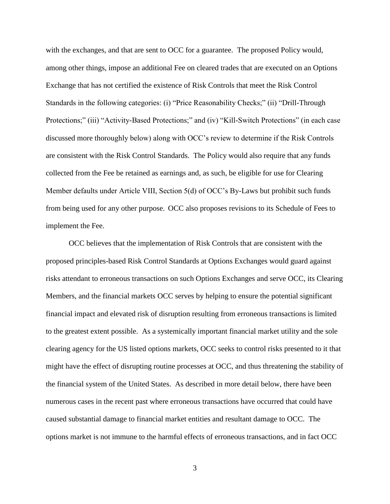with the exchanges, and that are sent to OCC for a guarantee. The proposed Policy would, among other things, impose an additional Fee on cleared trades that are executed on an Options Exchange that has not certified the existence of Risk Controls that meet the Risk Control Standards in the following categories: (i) "Price Reasonability Checks;" (ii) "Drill-Through Protections;" (iii) "Activity-Based Protections;" and (iv) "Kill-Switch Protections" (in each case discussed more thoroughly below) along with OCC's review to determine if the Risk Controls are consistent with the Risk Control Standards. The Policy would also require that any funds collected from the Fee be retained as earnings and, as such, be eligible for use for Clearing Member defaults under Article VIII, Section 5(d) of OCC's By-Laws but prohibit such funds from being used for any other purpose. OCC also proposes revisions to its Schedule of Fees to implement the Fee.

OCC believes that the implementation of Risk Controls that are consistent with the proposed principles-based Risk Control Standards at Options Exchanges would guard against risks attendant to erroneous transactions on such Options Exchanges and serve OCC, its Clearing Members, and the financial markets OCC serves by helping to ensure the potential significant financial impact and elevated risk of disruption resulting from erroneous transactions is limited to the greatest extent possible. As a systemically important financial market utility and the sole clearing agency for the US listed options markets, OCC seeks to control risks presented to it that might have the effect of disrupting routine processes at OCC, and thus threatening the stability of the financial system of the United States. As described in more detail below, there have been numerous cases in the recent past where erroneous transactions have occurred that could have caused substantial damage to financial market entities and resultant damage to OCC. The options market is not immune to the harmful effects of erroneous transactions, and in fact OCC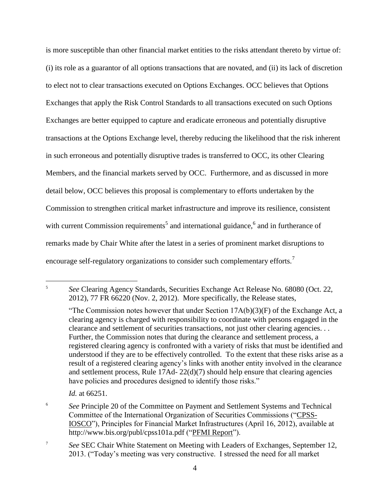is more susceptible than other financial market entities to the risks attendant thereto by virtue of: (i) its role as a guarantor of all options transactions that are novated, and (ii) its lack of discretion to elect not to clear transactions executed on Options Exchanges. OCC believes that Options Exchanges that apply the Risk Control Standards to all transactions executed on such Options Exchanges are better equipped to capture and eradicate erroneous and potentially disruptive transactions at the Options Exchange level, thereby reducing the likelihood that the risk inherent in such erroneous and potentially disruptive trades is transferred to OCC, its other Clearing Members, and the financial markets served by OCC. Furthermore, and as discussed in more detail below, OCC believes this proposal is complementary to efforts undertaken by the Commission to strengthen critical market infrastructure and improve its resilience, consistent with current Commission requirements<sup>5</sup> and international guidance,<sup>6</sup> and in furtherance of remarks made by Chair White after the latest in a series of prominent market disruptions to encourage self-regulatory organizations to consider such complementary efforts.<sup>7</sup>

*Id.* at 66251.

<sup>5</sup> *See* Clearing Agency Standards, Securities Exchange Act Release No. 68080 (Oct. 22, 2012), 77 FR 66220 (Nov. 2, 2012). More specifically, the Release states,

<sup>&</sup>quot;The Commission notes however that under Section  $17A(b)(3)(F)$  of the Exchange Act, a clearing agency is charged with responsibility to coordinate with persons engaged in the clearance and settlement of securities transactions, not just other clearing agencies. . . Further, the Commission notes that during the clearance and settlement process, a registered clearing agency is confronted with a variety of risks that must be identified and understood if they are to be effectively controlled. To the extent that these risks arise as a result of a registered clearing agency's links with another entity involved in the clearance and settlement process, Rule 17Ad- 22(d)(7) should help ensure that clearing agencies have policies and procedures designed to identify those risks."

<sup>6</sup> *See* Principle 20 of the Committee on Payment and Settlement Systems and Technical Committee of the International Organization of Securities Commissions ("CPSS-IOSCO"), Principles for Financial Market Infrastructures (April 16, 2012), available at http://www.bis.org/publ/cpss101a.pdf ("PFMI Report").

<sup>7</sup> *See* SEC Chair White Statement on Meeting with Leaders of Exchanges, September 12, 2013. ("Today's meeting was very constructive. I stressed the need for all market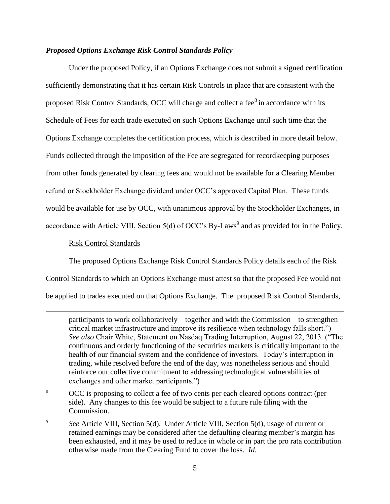### *Proposed Options Exchange Risk Control Standards Policy*

Under the proposed Policy, if an Options Exchange does not submit a signed certification sufficiently demonstrating that it has certain Risk Controls in place that are consistent with the proposed Risk Control Standards, OCC will charge and collect a fee<sup>8</sup> in accordance with its Schedule of Fees for each trade executed on such Options Exchange until such time that the Options Exchange completes the certification process, which is described in more detail below. Funds collected through the imposition of the Fee are segregated for recordkeeping purposes from other funds generated by clearing fees and would not be available for a Clearing Member refund or Stockholder Exchange dividend under OCC's approved Capital Plan. These funds would be available for use by OCC, with unanimous approval by the Stockholder Exchanges, in accordance with Article VIII, Section 5(d) of OCC's By-Laws<sup>9</sup> and as provided for in the Policy.

### Risk Control Standards

 $\overline{a}$ 

The proposed Options Exchange Risk Control Standards Policy details each of the Risk Control Standards to which an Options Exchange must attest so that the proposed Fee would not be applied to trades executed on that Options Exchange. The proposed Risk Control Standards,

participants to work collaboratively – together and with the Commission – to strengthen critical market infrastructure and improve its resilience when technology falls short.") *See also* Chair White, Statement on Nasdaq Trading Interruption, August 22, 2013. ("The continuous and orderly functioning of the securities markets is critically important to the health of our financial system and the confidence of investors. Today's interruption in trading, while resolved before the end of the day, was nonetheless serious and should reinforce our collective commitment to addressing technological vulnerabilities of exchanges and other market participants.")

- <sup>8</sup> OCC is proposing to collect a fee of two cents per each cleared options contract (per side). Any changes to this fee would be subject to a future rule filing with the Commission.
- 9 *See* Article VIII, Section 5(d). Under Article VIII, Section 5(d), usage of current or retained earnings may be considered after the defaulting clearing member's margin has been exhausted, and it may be used to reduce in whole or in part the pro rata contribution otherwise made from the Clearing Fund to cover the loss. *Id.*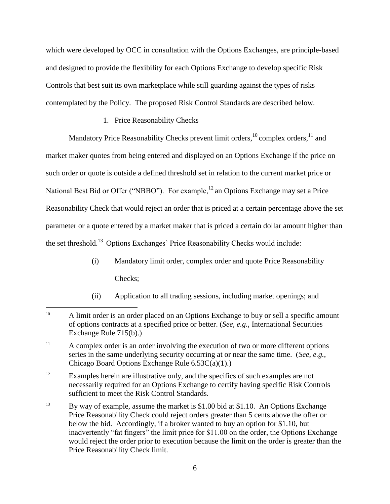which were developed by OCC in consultation with the Options Exchanges, are principle-based and designed to provide the flexibility for each Options Exchange to develop specific Risk Controls that best suit its own marketplace while still guarding against the types of risks contemplated by the Policy. The proposed Risk Control Standards are described below.

## 1. Price Reasonability Checks

 $\overline{a}$ 

Mandatory Price Reasonability Checks prevent limit orders,  $^{10}$  complex orders,  $^{11}$  and market maker quotes from being entered and displayed on an Options Exchange if the price on such order or quote is outside a defined threshold set in relation to the current market price or National Best Bid or Offer ("NBBO"). For example, <sup>12</sup> an Options Exchange may set a Price Reasonability Check that would reject an order that is priced at a certain percentage above the set parameter or a quote entered by a market maker that is priced a certain dollar amount higher than the set threshold.<sup>13</sup> Options Exchanges' Price Reasonability Checks would include:

- (i) Mandatory limit order, complex order and quote Price Reasonability Checks;
- (ii) Application to all trading sessions, including market openings; and

 $10$  A limit order is an order placed on an Options Exchange to buy or sell a specific amount of options contracts at a specified price or better. (*See*, *e.g.*, International Securities Exchange Rule 715(b).)

<sup>&</sup>lt;sup>11</sup> A complex order is an order involving the execution of two or more different options series in the same underlying security occurring at or near the same time. (*See*, *e.g.*, Chicago Board Options Exchange Rule 6.53C(a)(1).)

<sup>&</sup>lt;sup>12</sup> Examples herein are illustrative only, and the specifics of such examples are not necessarily required for an Options Exchange to certify having specific Risk Controls sufficient to meet the Risk Control Standards.

<sup>&</sup>lt;sup>13</sup> By way of example, assume the market is \$1.00 bid at \$1.10. An Options Exchange Price Reasonability Check could reject orders greater than 5 cents above the offer or below the bid. Accordingly, if a broker wanted to buy an option for \$1.10, but inadvertently "fat fingers" the limit price for \$11.00 on the order, the Options Exchange would reject the order prior to execution because the limit on the order is greater than the Price Reasonability Check limit.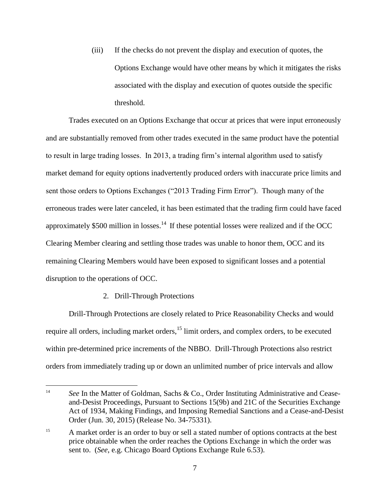(iii) If the checks do not prevent the display and execution of quotes, the Options Exchange would have other means by which it mitigates the risks associated with the display and execution of quotes outside the specific threshold.

Trades executed on an Options Exchange that occur at prices that were input erroneously and are substantially removed from other trades executed in the same product have the potential to result in large trading losses. In 2013, a trading firm's internal algorithm used to satisfy market demand for equity options inadvertently produced orders with inaccurate price limits and sent those orders to Options Exchanges ("2013 Trading Firm Error"). Though many of the erroneous trades were later canceled, it has been estimated that the trading firm could have faced approximately  $$500$  million in losses.<sup>14</sup> If these potential losses were realized and if the OCC Clearing Member clearing and settling those trades was unable to honor them, OCC and its remaining Clearing Members would have been exposed to significant losses and a potential disruption to the operations of OCC.

2. Drill-Through Protections

 $\overline{a}$ 

Drill-Through Protections are closely related to Price Reasonability Checks and would require all orders, including market orders, <sup>15</sup> limit orders, and complex orders, to be executed within pre-determined price increments of the NBBO. Drill-Through Protections also restrict orders from immediately trading up or down an unlimited number of price intervals and allow

<sup>&</sup>lt;sup>14</sup> *See* In the Matter of Goldman, Sachs & Co., Order Instituting Administrative and Ceaseand-Desist Proceedings, Pursuant to Sections 15(9b) and 21C of the Securities Exchange Act of 1934, Making Findings, and Imposing Remedial Sanctions and a Cease-and-Desist Order (Jun. 30, 2015) (Release No. 34-75331).

<sup>&</sup>lt;sup>15</sup> A market order is an order to buy or sell a stated number of options contracts at the best price obtainable when the order reaches the Options Exchange in which the order was sent to. (*See*, e.g. Chicago Board Options Exchange Rule 6.53).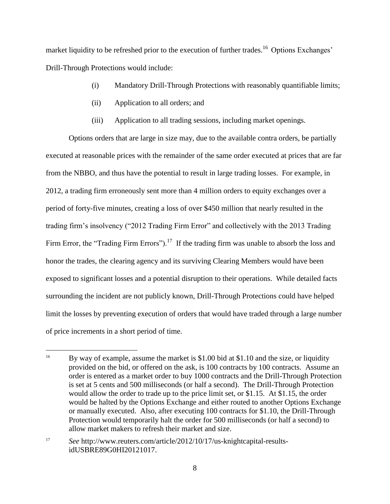market liquidity to be refreshed prior to the execution of further trades.<sup>16</sup> Options Exchanges' Drill-Through Protections would include:

- (i) Mandatory Drill-Through Protections with reasonably quantifiable limits;
- (ii) Application to all orders; and
- (iii) Application to all trading sessions, including market openings.

Options orders that are large in size may, due to the available contra orders, be partially executed at reasonable prices with the remainder of the same order executed at prices that are far from the NBBO, and thus have the potential to result in large trading losses. For example, in 2012, a trading firm erroneously sent more than 4 million orders to equity exchanges over a period of forty-five minutes, creating a loss of over \$450 million that nearly resulted in the trading firm's insolvency ("2012 Trading Firm Error" and collectively with the 2013 Trading Firm Error, the "Trading Firm Errors").<sup>17</sup> If the trading firm was unable to absorb the loss and honor the trades, the clearing agency and its surviving Clearing Members would have been exposed to significant losses and a potential disruption to their operations. While detailed facts surrounding the incident are not publicly known, Drill-Through Protections could have helped limit the losses by preventing execution of orders that would have traded through a large number of price increments in a short period of time.

<sup>&</sup>lt;sup>16</sup> By way of example, assume the market is \$1.00 bid at \$1.10 and the size, or liquidity provided on the bid, or offered on the ask, is 100 contracts by 100 contracts. Assume an order is entered as a market order to buy 1000 contracts and the Drill-Through Protection is set at 5 cents and 500 milliseconds (or half a second). The Drill-Through Protection would allow the order to trade up to the price limit set, or \$1.15. At \$1.15, the order would be halted by the Options Exchange and either routed to another Options Exchange or manually executed. Also, after executing 100 contracts for \$1.10, the Drill-Through Protection would temporarily halt the order for 500 milliseconds (or half a second) to allow market makers to refresh their market and size.

<sup>17</sup> *See* http://www.reuters.com/article/2012/10/17/us-knightcapital-resultsidUSBRE89G0HI20121017.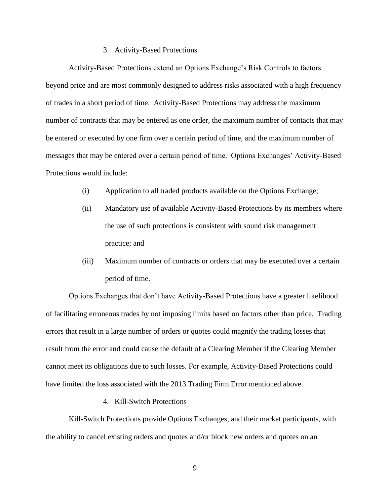### 3. Activity-Based Protections

Activity-Based Protections extend an Options Exchange's Risk Controls to factors beyond price and are most commonly designed to address risks associated with a high frequency of trades in a short period of time. Activity-Based Protections may address the maximum number of contracts that may be entered as one order, the maximum number of contacts that may be entered or executed by one firm over a certain period of time, and the maximum number of messages that may be entered over a certain period of time. Options Exchanges' Activity-Based Protections would include:

- (i) Application to all traded products available on the Options Exchange;
- (ii) Mandatory use of available Activity-Based Protections by its members where the use of such protections is consistent with sound risk management practice; and
- (iii) Maximum number of contracts or orders that may be executed over a certain period of time.

Options Exchanges that don't have Activity-Based Protections have a greater likelihood of facilitating erroneous trades by not imposing limits based on factors other than price. Trading errors that result in a large number of orders or quotes could magnify the trading losses that result from the error and could cause the default of a Clearing Member if the Clearing Member cannot meet its obligations due to such losses. For example, Activity-Based Protections could have limited the loss associated with the 2013 Trading Firm Error mentioned above.

### 4. Kill-Switch Protections

Kill-Switch Protections provide Options Exchanges, and their market participants, with the ability to cancel existing orders and quotes and/or block new orders and quotes on an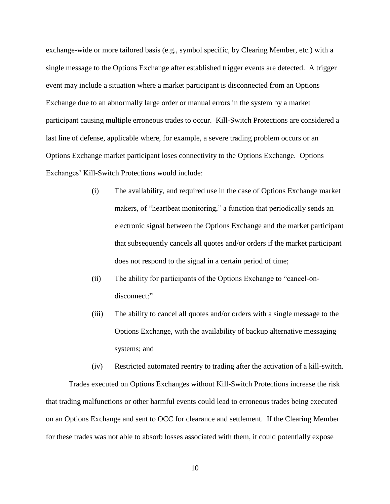exchange-wide or more tailored basis (e.g., symbol specific, by Clearing Member, etc.) with a single message to the Options Exchange after established trigger events are detected. A trigger event may include a situation where a market participant is disconnected from an Options Exchange due to an abnormally large order or manual errors in the system by a market participant causing multiple erroneous trades to occur. Kill-Switch Protections are considered a last line of defense, applicable where, for example, a severe trading problem occurs or an Options Exchange market participant loses connectivity to the Options Exchange. Options Exchanges' Kill-Switch Protections would include:

- (i) The availability, and required use in the case of Options Exchange market makers, of "heartbeat monitoring," a function that periodically sends an electronic signal between the Options Exchange and the market participant that subsequently cancels all quotes and/or orders if the market participant does not respond to the signal in a certain period of time;
- (ii) The ability for participants of the Options Exchange to "cancel-ondisconnect;"
- (iii) The ability to cancel all quotes and/or orders with a single message to the Options Exchange, with the availability of backup alternative messaging systems; and
- (iv) Restricted automated reentry to trading after the activation of a kill-switch.

Trades executed on Options Exchanges without Kill-Switch Protections increase the risk that trading malfunctions or other harmful events could lead to erroneous trades being executed on an Options Exchange and sent to OCC for clearance and settlement. If the Clearing Member for these trades was not able to absorb losses associated with them, it could potentially expose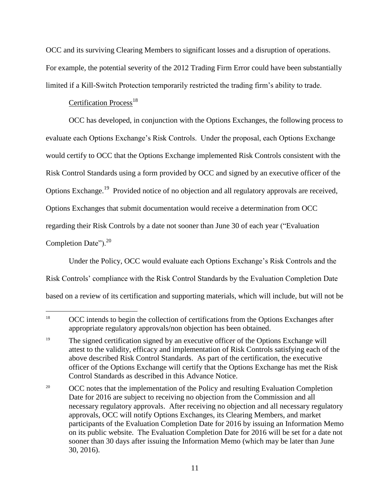OCC and its surviving Clearing Members to significant losses and a disruption of operations. For example, the potential severity of the 2012 Trading Firm Error could have been substantially limited if a Kill-Switch Protection temporarily restricted the trading firm's ability to trade.

# Certification Process<sup>18</sup>

OCC has developed, in conjunction with the Options Exchanges, the following process to evaluate each Options Exchange's Risk Controls. Under the proposal, each Options Exchange would certify to OCC that the Options Exchange implemented Risk Controls consistent with the Risk Control Standards using a form provided by OCC and signed by an executive officer of the Options Exchange.<sup>19</sup> Provided notice of no objection and all regulatory approvals are received, Options Exchanges that submit documentation would receive a determination from OCC regarding their Risk Controls by a date not sooner than June 30 of each year ("Evaluation Completion Date").<sup>20</sup>

Under the Policy, OCC would evaluate each Options Exchange's Risk Controls and the Risk Controls' compliance with the Risk Control Standards by the Evaluation Completion Date based on a review of its certification and supporting materials, which will include, but will not be

 $\overline{a}$ <sup>18</sup> OCC intends to begin the collection of certifications from the Options Exchanges after appropriate regulatory approvals/non objection has been obtained.

<sup>&</sup>lt;sup>19</sup> The signed certification signed by an executive officer of the Options Exchange will attest to the validity, efficacy and implementation of Risk Controls satisfying each of the above described Risk Control Standards. As part of the certification, the executive officer of the Options Exchange will certify that the Options Exchange has met the Risk Control Standards as described in this Advance Notice.

<sup>&</sup>lt;sup>20</sup> OCC notes that the implementation of the Policy and resulting Evaluation Completion Date for 2016 are subject to receiving no objection from the Commission and all necessary regulatory approvals. After receiving no objection and all necessary regulatory approvals, OCC will notify Options Exchanges, its Clearing Members, and market participants of the Evaluation Completion Date for 2016 by issuing an Information Memo on its public website. The Evaluation Completion Date for 2016 will be set for a date not sooner than 30 days after issuing the Information Memo (which may be later than June 30, 2016).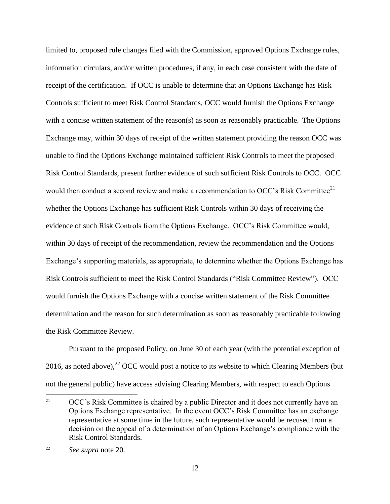limited to, proposed rule changes filed with the Commission, approved Options Exchange rules, information circulars, and/or written procedures, if any, in each case consistent with the date of receipt of the certification. If OCC is unable to determine that an Options Exchange has Risk Controls sufficient to meet Risk Control Standards, OCC would furnish the Options Exchange with a concise written statement of the reason(s) as soon as reasonably practicable. The Options Exchange may, within 30 days of receipt of the written statement providing the reason OCC was unable to find the Options Exchange maintained sufficient Risk Controls to meet the proposed Risk Control Standards, present further evidence of such sufficient Risk Controls to OCC. OCC would then conduct a second review and make a recommendation to OCC's Risk Committee<sup>21</sup> whether the Options Exchange has sufficient Risk Controls within 30 days of receiving the evidence of such Risk Controls from the Options Exchange. OCC's Risk Committee would, within 30 days of receipt of the recommendation, review the recommendation and the Options Exchange's supporting materials, as appropriate, to determine whether the Options Exchange has Risk Controls sufficient to meet the Risk Control Standards ("Risk Committee Review"). OCC would furnish the Options Exchange with a concise written statement of the Risk Committee determination and the reason for such determination as soon as reasonably practicable following the Risk Committee Review.

Pursuant to the proposed Policy, on June 30 of each year (with the potential exception of 2016, as noted above), $^{22}$  OCC would post a notice to its website to which Clearing Members (but not the general public) have access advising Clearing Members, with respect to each Options

<sup>&</sup>lt;sup>21</sup> OCC's Risk Committee is chaired by a public Director and it does not currently have an Options Exchange representative. In the event OCC's Risk Committee has an exchange representative at some time in the future, such representative would be recused from a decision on the appeal of a determination of an Options Exchange's compliance with the Risk Control Standards.

<sup>22</sup> *See supra* note 20.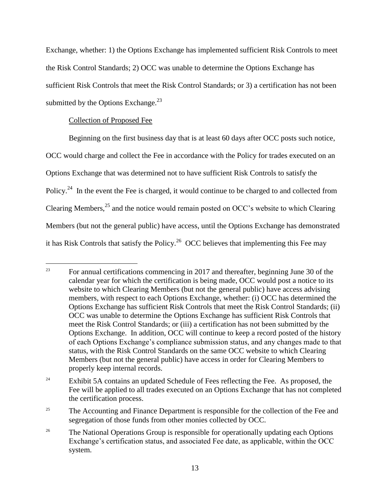Exchange, whether: 1) the Options Exchange has implemented sufficient Risk Controls to meet the Risk Control Standards; 2) OCC was unable to determine the Options Exchange has sufficient Risk Controls that meet the Risk Control Standards; or 3) a certification has not been submitted by the Options Exchange. $^{23}$ 

# Collection of Proposed Fee

Beginning on the first business day that is at least 60 days after OCC posts such notice, OCC would charge and collect the Fee in accordance with the Policy for trades executed on an Options Exchange that was determined not to have sufficient Risk Controls to satisfy the Policy.<sup>24</sup> In the event the Fee is charged, it would continue to be charged to and collected from Clearing Members,<sup>25</sup> and the notice would remain posted on OCC's website to which Clearing Members (but not the general public) have access, until the Options Exchange has demonstrated it has Risk Controls that satisfy the Policy.<sup>26</sup> OCC believes that implementing this Fee may

 $23$ <sup>23</sup> For annual certifications commencing in 2017 and thereafter, beginning June 30 of the calendar year for which the certification is being made, OCC would post a notice to its website to which Clearing Members (but not the general public) have access advising members, with respect to each Options Exchange, whether: (i) OCC has determined the Options Exchange has sufficient Risk Controls that meet the Risk Control Standards; (ii) OCC was unable to determine the Options Exchange has sufficient Risk Controls that meet the Risk Control Standards; or (iii) a certification has not been submitted by the Options Exchange. In addition, OCC will continue to keep a record posted of the history of each Options Exchange's compliance submission status, and any changes made to that status, with the Risk Control Standards on the same OCC website to which Clearing Members (but not the general public) have access in order for Clearing Members to properly keep internal records.

<sup>&</sup>lt;sup>24</sup> Exhibit 5A contains an updated Schedule of Fees reflecting the Fee. As proposed, the Fee will be applied to all trades executed on an Options Exchange that has not completed the certification process.

<sup>&</sup>lt;sup>25</sup> The Accounting and Finance Department is responsible for the collection of the Fee and segregation of those funds from other monies collected by OCC.

<sup>&</sup>lt;sup>26</sup> The National Operations Group is responsible for operationally updating each Options Exchange's certification status, and associated Fee date, as applicable, within the OCC system.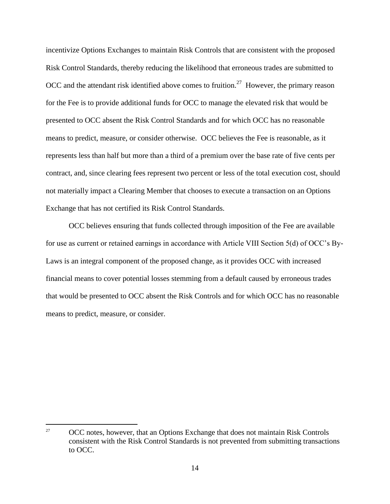incentivize Options Exchanges to maintain Risk Controls that are consistent with the proposed Risk Control Standards, thereby reducing the likelihood that erroneous trades are submitted to OCC and the attendant risk identified above comes to fruition.<sup>27</sup> However, the primary reason for the Fee is to provide additional funds for OCC to manage the elevated risk that would be presented to OCC absent the Risk Control Standards and for which OCC has no reasonable means to predict, measure, or consider otherwise. OCC believes the Fee is reasonable, as it represents less than half but more than a third of a premium over the base rate of five cents per contract, and, since clearing fees represent two percent or less of the total execution cost, should not materially impact a Clearing Member that chooses to execute a transaction on an Options Exchange that has not certified its Risk Control Standards.

OCC believes ensuring that funds collected through imposition of the Fee are available for use as current or retained earnings in accordance with Article VIII Section 5(d) of OCC's By-Laws is an integral component of the proposed change, as it provides OCC with increased financial means to cover potential losses stemming from a default caused by erroneous trades that would be presented to OCC absent the Risk Controls and for which OCC has no reasonable means to predict, measure, or consider.

 $27$ <sup>27</sup> OCC notes, however, that an Options Exchange that does not maintain Risk Controls consistent with the Risk Control Standards is not prevented from submitting transactions to OCC.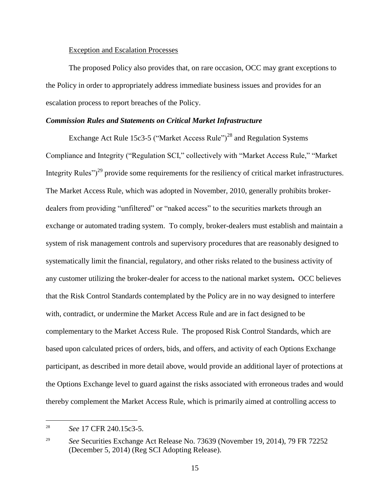### Exception and Escalation Processes

The proposed Policy also provides that, on rare occasion, OCC may grant exceptions to the Policy in order to appropriately address immediate business issues and provides for an escalation process to report breaches of the Policy.

## *Commission Rules and Statements on Critical Market Infrastructure*

Exchange Act Rule 15c3-5 ("Market Access Rule")<sup>28</sup> and Regulation Systems Compliance and Integrity ("Regulation SCI," collectively with "Market Access Rule," "Market Integrity Rules" $2<sup>29</sup>$  provide some requirements for the resiliency of critical market infrastructures. The Market Access Rule, which was adopted in November, 2010, generally prohibits brokerdealers from providing "unfiltered" or "naked access" to the securities markets through an exchange or automated trading system. To comply, broker-dealers must establish and maintain a system of risk management controls and supervisory procedures that are reasonably designed to systematically limit the financial, regulatory, and other risks related to the business activity of any customer utilizing the broker-dealer for access to the national market system**.** OCC believes that the Risk Control Standards contemplated by the Policy are in no way designed to interfere with, contradict, or undermine the Market Access Rule and are in fact designed to be complementary to the Market Access Rule. The proposed Risk Control Standards, which are based upon calculated prices of orders, bids, and offers, and activity of each Options Exchange participant, as described in more detail above, would provide an additional layer of protections at the Options Exchange level to guard against the risks associated with erroneous trades and would thereby complement the Market Access Rule, which is primarily aimed at controlling access to

<sup>28</sup> *See* 17 CFR 240.15c3-5.

<sup>&</sup>lt;sup>29</sup> *See* Securities Exchange Act Release No. 73639 (November 19, 2014), 79 FR 72252 (December 5, 2014) (Reg SCI Adopting Release).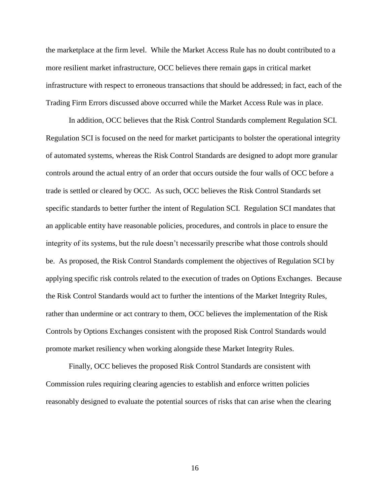the marketplace at the firm level. While the Market Access Rule has no doubt contributed to a more resilient market infrastructure, OCC believes there remain gaps in critical market infrastructure with respect to erroneous transactions that should be addressed; in fact, each of the Trading Firm Errors discussed above occurred while the Market Access Rule was in place.

In addition, OCC believes that the Risk Control Standards complement Regulation SCI. Regulation SCI is focused on the need for market participants to bolster the operational integrity of automated systems, whereas the Risk Control Standards are designed to adopt more granular controls around the actual entry of an order that occurs outside the four walls of OCC before a trade is settled or cleared by OCC. As such, OCC believes the Risk Control Standards set specific standards to better further the intent of Regulation SCI. Regulation SCI mandates that an applicable entity have reasonable policies, procedures, and controls in place to ensure the integrity of its systems, but the rule doesn't necessarily prescribe what those controls should be. As proposed, the Risk Control Standards complement the objectives of Regulation SCI by applying specific risk controls related to the execution of trades on Options Exchanges. Because the Risk Control Standards would act to further the intentions of the Market Integrity Rules, rather than undermine or act contrary to them, OCC believes the implementation of the Risk Controls by Options Exchanges consistent with the proposed Risk Control Standards would promote market resiliency when working alongside these Market Integrity Rules.

Finally, OCC believes the proposed Risk Control Standards are consistent with Commission rules requiring clearing agencies to establish and enforce written policies reasonably designed to evaluate the potential sources of risks that can arise when the clearing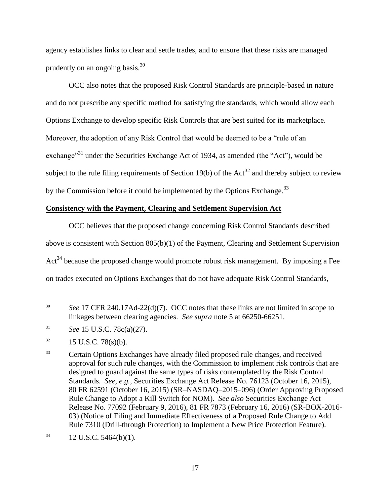agency establishes links to clear and settle trades, and to ensure that these risks are managed prudently on an ongoing basis.<sup>30</sup>

OCC also notes that the proposed Risk Control Standards are principle-based in nature and do not prescribe any specific method for satisfying the standards, which would allow each Options Exchange to develop specific Risk Controls that are best suited for its marketplace. Moreover, the adoption of any Risk Control that would be deemed to be a "rule of an exchange<sup>"31</sup> under the Securities Exchange Act of 1934, as amended (the "Act"), would be subject to the rule filing requirements of Section 19(b) of the Act<sup>32</sup> and thereby subject to review by the Commission before it could be implemented by the Options Exchange.<sup>33</sup>

# **Consistency with the Payment, Clearing and Settlement Supervision Act**

OCC believes that the proposed change concerning Risk Control Standards described above is consistent with Section 805(b)(1) of the Payment, Clearing and Settlement Supervision Act<sup>34</sup> because the proposed change would promote robust risk management. By imposing a Fee on trades executed on Options Exchanges that do not have adequate Risk Control Standards,

 $32 \t15$  U.S.C. 78(s)(b).

<sup>30</sup> *See* 17 CFR 240.17Ad-22(d)(7). OCC notes that these links are not limited in scope to linkages between clearing agencies. *See supra* note 5 at 66250-66251.

<sup>31</sup> *See* 15 U.S.C. 78c(a)(27).

<sup>&</sup>lt;sup>33</sup> Certain Options Exchanges have already filed proposed rule changes, and received approval for such rule changes, with the Commission to implement risk controls that are designed to guard against the same types of risks contemplated by the Risk Control Standards. *See*, *e.g.*, Securities Exchange Act Release No. 76123 (October 16, 2015), 80 FR 62591 (October 16, 2015) (SR–NASDAQ–2015–096) (Order Approving Proposed Rule Change to Adopt a Kill Switch for NOM). *See also* Securities Exchange Act Release No. 77092 (February 9, 2016), 81 FR 7873 (February 16, 2016) (SR-BOX-2016- 03) (Notice of Filing and Immediate Effectiveness of a Proposed Rule Change to Add Rule 7310 (Drill-through Protection) to Implement a New Price Protection Feature).

 $34$  12 U.S.C. 5464(b)(1).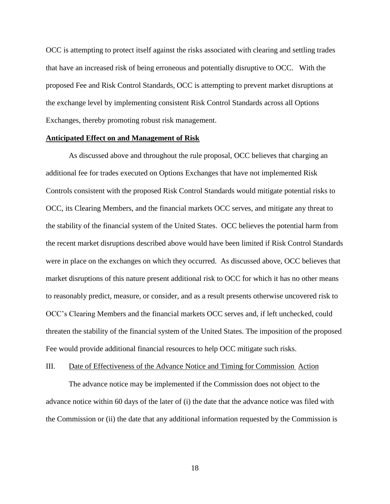OCC is attempting to protect itself against the risks associated with clearing and settling trades that have an increased risk of being erroneous and potentially disruptive to OCC. With the proposed Fee and Risk Control Standards, OCC is attempting to prevent market disruptions at the exchange level by implementing consistent Risk Control Standards across all Options Exchanges, thereby promoting robust risk management.

### **Anticipated Effect on and Management of Risk**

As discussed above and throughout the rule proposal, OCC believes that charging an additional fee for trades executed on Options Exchanges that have not implemented Risk Controls consistent with the proposed Risk Control Standards would mitigate potential risks to OCC, its Clearing Members, and the financial markets OCC serves, and mitigate any threat to the stability of the financial system of the United States. OCC believes the potential harm from the recent market disruptions described above would have been limited if Risk Control Standards were in place on the exchanges on which they occurred. As discussed above, OCC believes that market disruptions of this nature present additional risk to OCC for which it has no other means to reasonably predict, measure, or consider, and as a result presents otherwise uncovered risk to OCC's Clearing Members and the financial markets OCC serves and, if left unchecked, could threaten the stability of the financial system of the United States. The imposition of the proposed Fee would provide additional financial resources to help OCC mitigate such risks.

### III. Date of Effectiveness of the Advance Notice and Timing for Commission Action

The advance notice may be implemented if the Commission does not object to the advance notice within 60 days of the later of (i) the date that the advance notice was filed with the Commission or (ii) the date that any additional information requested by the Commission is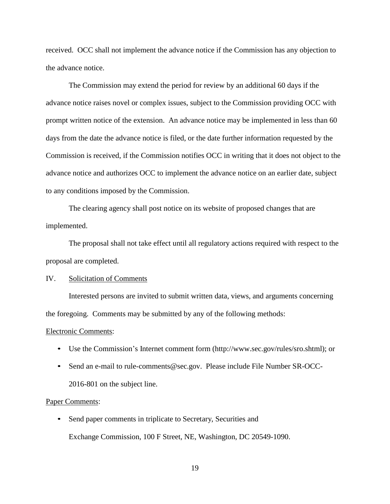received. OCC shall not implement the advance notice if the Commission has any objection to the advance notice.

The Commission may extend the period for review by an additional 60 days if the advance notice raises novel or complex issues, subject to the Commission providing OCC with prompt written notice of the extension. An advance notice may be implemented in less than 60 days from the date the advance notice is filed, or the date further information requested by the Commission is received, if the Commission notifies OCC in writing that it does not object to the advance notice and authorizes OCC to implement the advance notice on an earlier date, subject to any conditions imposed by the Commission.

The clearing agency shall post notice on its website of proposed changes that are implemented.

The proposal shall not take effect until all regulatory actions required with respect to the proposal are completed.

## IV. Solicitation of Comments

Interested persons are invited to submit written data, views, and arguments concerning the foregoing. Comments may be submitted by any of the following methods:

#### Electronic Comments:

- Use the Commission's Internet comment form (http://www.sec.gov/rules/sro.shtml); or
- Send an e-mail to rule-comments@sec.gov. Please include File Number SR-OCC-2016-801 on the subject line.

#### Paper Comments:

• Send paper comments in triplicate to Secretary, Securities and Exchange Commission, 100 F Street, NE, Washington, DC 20549-1090.